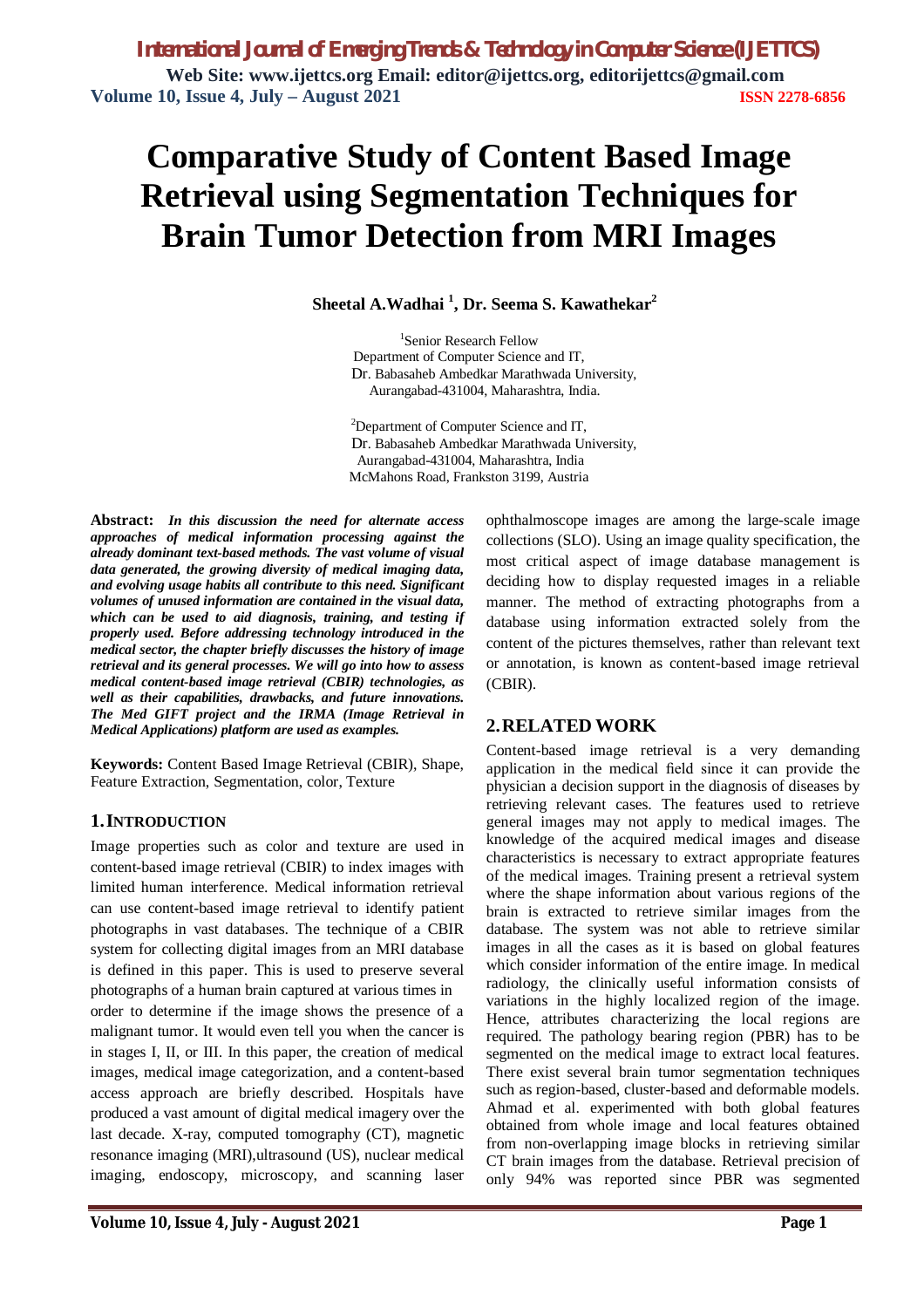# **Comparative Study of Content Based Image Retrieval using Segmentation Techniques for Brain Tumor Detection from MRI Images**

## **Sheetal A.Wadhai <sup>1</sup> , Dr. Seema S. Kawathekar 2**

1 Senior Research Fellow Department of Computer Science and IT, Dr. Babasaheb Ambedkar Marathwada University, Aurangabad-431004, Maharashtra, India.

 ${}^{2}$ Department of Computer Science and IT, Dr. Babasaheb Ambedkar Marathwada University, Aurangabad-431004, Maharashtra, India McMahons Road, Frankston 3199, Austria

**Abstract:** *In this discussion the need for alternate access approaches of medical information processing against the already dominant text-based methods. The vast volume of visual data generated, the growing diversity of medical imaging data, and evolving usage habits all contribute to this need. Significant volumes of unused information are contained in the visual data, which can be used to aid diagnosis, training, and testing if properly used. Before addressing technology introduced in the medical sector, the chapter briefly discusses the history of image retrieval and its general processes. We will go into how to assess medical content-based image retrieval (CBIR) technologies, as well as their capabilities, drawbacks, and future innovations. The Med GIFT project and the IRMA (Image Retrieval in Medical Applications) platform are used as examples.* 

**Keywords:** Content Based Image Retrieval (CBIR), Shape, Feature Extraction, Segmentation, color, Texture

## **1.INTRODUCTION**

Image properties such as color and texture are used in content-based image retrieval (CBIR) to index images with limited human interference. Medical information retrieval can use content-based image retrieval to identify patient photographs in vast databases. The technique of a CBIR system for collecting digital images from an MRI database is defined in this paper. This is used to preserve several photographs of a human brain captured at various times in order to determine if the image shows the presence of a malignant tumor. It would even tell you when the cancer is

in stages I, II, or III. In this paper, the creation of medical images, medical image categorization, and a content-based access approach are briefly described. Hospitals have produced a vast amount of digital medical imagery over the last decade. X-ray, computed tomography (CT), magnetic resonance imaging (MRI),ultrasound (US), nuclear medical imaging, endoscopy, microscopy, and scanning laser

ophthalmoscope images are among the large-scale image collections (SLO). Using an image quality specification, the most critical aspect of image database management is deciding how to display requested images in a reliable manner. The method of extracting photographs from a database using information extracted solely from the content of the pictures themselves, rather than relevant text or annotation, is known as content-based image retrieval (CBIR).

## **2.RELATED WORK**

Content-based image retrieval is a very demanding application in the medical field since it can provide the physician a decision support in the diagnosis of diseases by retrieving relevant cases. The features used to retrieve general images may not apply to medical images. The knowledge of the acquired medical images and disease characteristics is necessary to extract appropriate features of the medical images. Training present a retrieval system where the shape information about various regions of the brain is extracted to retrieve similar images from the database. The system was not able to retrieve similar images in all the cases as it is based on global features which consider information of the entire image. In medical radiology, the clinically useful information consists of variations in the highly localized region of the image. Hence, attributes characterizing the local regions are required. The pathology bearing region (PBR) has to be segmented on the medical image to extract local features. There exist several brain tumor segmentation techniques such as region-based, cluster-based and deformable models. Ahmad et al. experimented with both global features obtained from whole image and local features obtained from non-overlapping image blocks in retrieving similar CT brain images from the database. Retrieval precision of only 94% was reported since PBR was segmented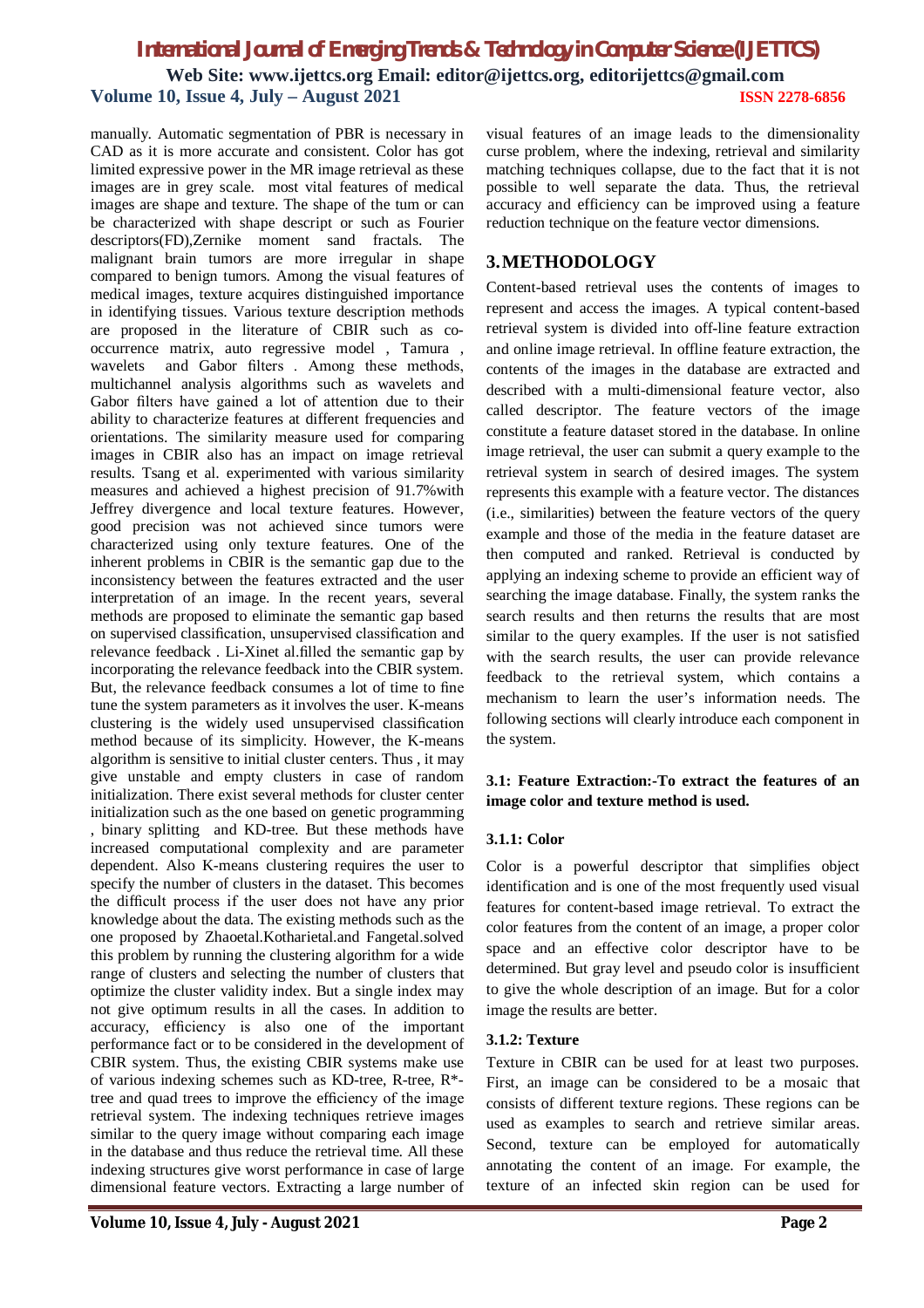manually. Automatic segmentation of PBR is necessary in CAD as it is more accurate and consistent. Color has got limited expressive power in the MR image retrieval as these images are in grey scale. most vital features of medical images are shape and texture. The shape of the tum or can be characterized with shape descript or such as Fourier descriptors(FD),Zernike moment sand fractals. The malignant brain tumors are more irregular in shape compared to benign tumors. Among the visual features of medical images, texture acquires distinguished importance in identifying tissues. Various texture description methods are proposed in the literature of CBIR such as cooccurrence matrix, auto regressive model , Tamura , wavelets and Gabor filters . Among these methods, multichannel analysis algorithms such as wavelets and Gabor filters have gained a lot of attention due to their ability to characterize features at different frequencies and orientations. The similarity measure used for comparing images in CBIR also has an impact on image retrieval results. Tsang et al. experimented with various similarity measures and achieved a highest precision of 91.7%with Jeffrey divergence and local texture features. However, good precision was not achieved since tumors were characterized using only texture features. One of the inherent problems in CBIR is the semantic gap due to the inconsistency between the features extracted and the user interpretation of an image. In the recent years, several methods are proposed to eliminate the semantic gap based on supervised classification, unsupervised classification and relevance feedback . Li-Xinet al.filled the semantic gap by incorporating the relevance feedback into the CBIR system. But, the relevance feedback consumes a lot of time to fine tune the system parameters as it involves the user. K-means clustering is the widely used unsupervised classification method because of its simplicity. However, the K-means algorithm is sensitive to initial cluster centers. Thus , it may give unstable and empty clusters in case of random initialization. There exist several methods for cluster center initialization such as the one based on genetic programming , binary splitting and KD-tree. But these methods have increased computational complexity and are parameter dependent. Also K-means clustering requires the user to specify the number of clusters in the dataset. This becomes the difficult process if the user does not have any prior knowledge about the data. The existing methods such as the one proposed by Zhaoetal.Kotharietal.and Fangetal.solved this problem by running the clustering algorithm for a wide range of clusters and selecting the number of clusters that optimize the cluster validity index. But a single index may not give optimum results in all the cases. In addition to accuracy, efficiency is also one of the important performance fact or to be considered in the development of CBIR system. Thus, the existing CBIR systems make use of various indexing schemes such as KD-tree, R-tree,  $R^*$ tree and quad trees to improve the efficiency of the image retrieval system. The indexing techniques retrieve images similar to the query image without comparing each image in the database and thus reduce the retrieval time. All these indexing structures give worst performance in case of large dimensional feature vectors. Extracting a large number of

visual features of an image leads to the dimensionality curse problem, where the indexing, retrieval and similarity matching techniques collapse, due to the fact that it is not possible to well separate the data. Thus, the retrieval accuracy and efficiency can be improved using a feature reduction technique on the feature vector dimensions.

## **3.METHODOLOGY**

Content-based retrieval uses the contents of images to represent and access the images. A typical content-based retrieval system is divided into off-line feature extraction and online image retrieval. In offline feature extraction, the contents of the images in the database are extracted and described with a multi-dimensional feature vector, also called descriptor. The feature vectors of the image constitute a feature dataset stored in the database. In online image retrieval, the user can submit a query example to the retrieval system in search of desired images. The system represents this example with a feature vector. The distances (i.e., similarities) between the feature vectors of the query example and those of the media in the feature dataset are then computed and ranked. Retrieval is conducted by applying an indexing scheme to provide an efficient way of searching the image database. Finally, the system ranks the search results and then returns the results that are most similar to the query examples. If the user is not satisfied with the search results, the user can provide relevance feedback to the retrieval system, which contains a mechanism to learn the user's information needs. The following sections will clearly introduce each component in the system.

### **3.1: Feature Extraction:-To extract the features of an image color and texture method is used.**

#### **3.1.1: Color**

Color is a powerful descriptor that simplifies object identification and is one of the most frequently used visual features for content-based image retrieval. To extract the color features from the content of an image, a proper color space and an effective color descriptor have to be determined. But gray level and pseudo color is insufficient to give the whole description of an image. But for a color image the results are better.

#### **3.1.2: Texture**

Texture in CBIR can be used for at least two purposes. First, an image can be considered to be a mosaic that consists of different texture regions. These regions can be used as examples to search and retrieve similar areas. Second, texture can be employed for automatically annotating the content of an image. For example, the texture of an infected skin region can be used for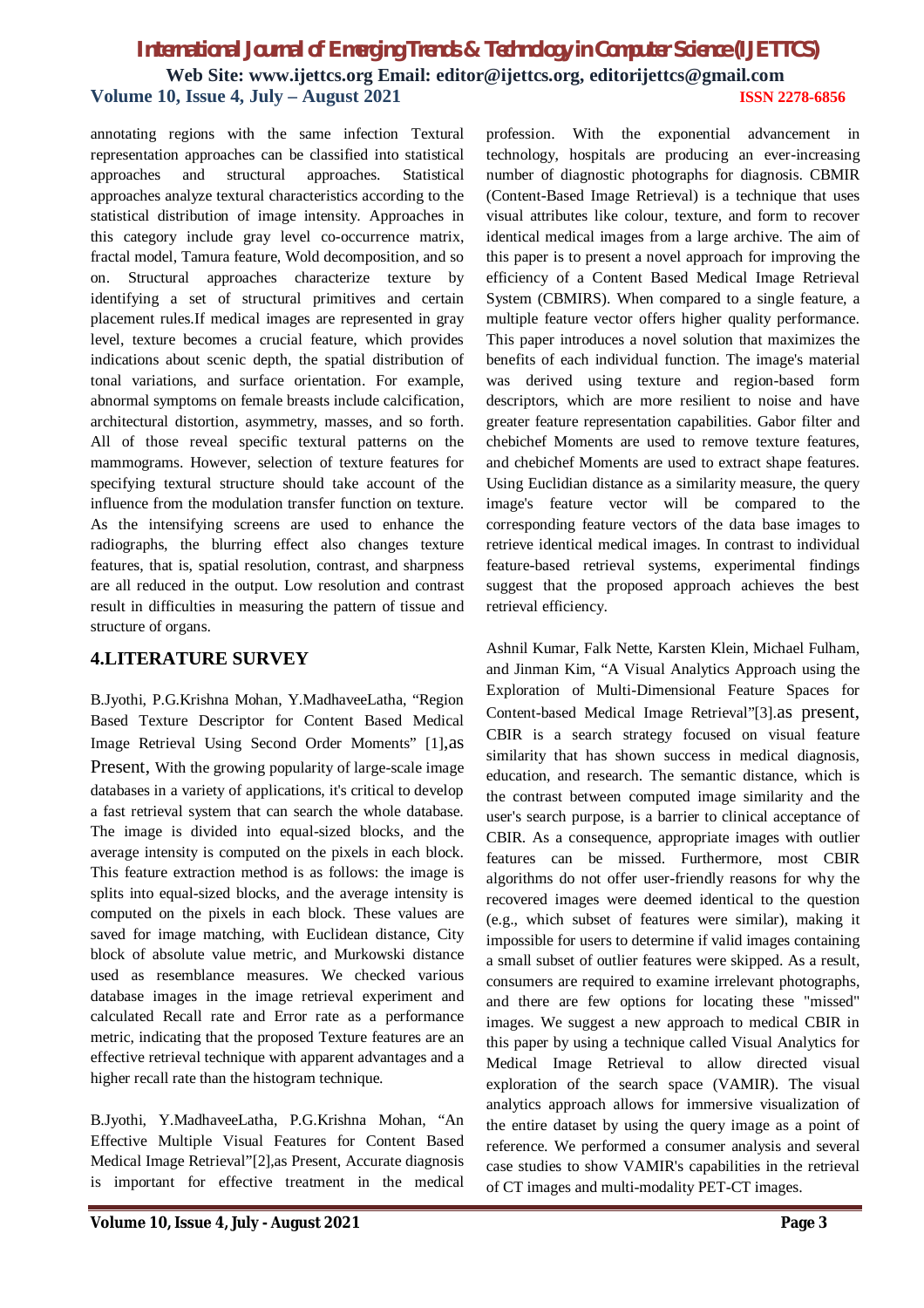annotating regions with the same infection Textural representation approaches can be classified into statistical approaches and structural approaches. Statistical approaches analyze textural characteristics according to the statistical distribution of image intensity. Approaches in this category include gray level co-occurrence matrix, fractal model, Tamura feature, Wold decomposition, and so on. Structural approaches characterize texture by identifying a set of structural primitives and certain placement rules.If medical images are represented in gray level, texture becomes a crucial feature, which provides indications about scenic depth, the spatial distribution of tonal variations, and surface orientation. For example, abnormal symptoms on female breasts include calcification, architectural distortion, asymmetry, masses, and so forth. All of those reveal specific textural patterns on the mammograms. However, selection of texture features for specifying textural structure should take account of the influence from the modulation transfer function on texture. As the intensifying screens are used to enhance the radiographs, the blurring effect also changes texture features, that is, spatial resolution, contrast, and sharpness are all reduced in the output. Low resolution and contrast result in difficulties in measuring the pattern of tissue and structure of organs.

## **4.LITERATURE SURVEY**

B.Jyothi, P.G.Krishna Mohan, Y.MadhaveeLatha, "Region Based Texture Descriptor for Content Based Medical Image Retrieval Using Second Order Moments" [1],as Present, With the growing popularity of large-scale image databases in a variety of applications, it's critical to develop a fast retrieval system that can search the whole database. The image is divided into equal-sized blocks, and the average intensity is computed on the pixels in each block. This feature extraction method is as follows: the image is splits into equal-sized blocks, and the average intensity is computed on the pixels in each block. These values are saved for image matching, with Euclidean distance, City block of absolute value metric, and Murkowski distance used as resemblance measures. We checked various database images in the image retrieval experiment and calculated Recall rate and Error rate as a performance metric, indicating that the proposed Texture features are an effective retrieval technique with apparent advantages and a higher recall rate than the histogram technique.

B.Jyothi, Y.MadhaveeLatha, P.G.Krishna Mohan, "An Effective Multiple Visual Features for Content Based Medical Image Retrieval"[2],as Present, Accurate diagnosis is important for effective treatment in the medical

**Volume 10, Issue 4, July - August 2021 Page 3**

profession. With the exponential advancement in technology, hospitals are producing an ever-increasing number of diagnostic photographs for diagnosis. CBMIR (Content-Based Image Retrieval) is a technique that uses visual attributes like colour, texture, and form to recover identical medical images from a large archive. The aim of this paper is to present a novel approach for improving the efficiency of a Content Based Medical Image Retrieval System (CBMIRS). When compared to a single feature, a multiple feature vector offers higher quality performance. This paper introduces a novel solution that maximizes the benefits of each individual function. The image's material was derived using texture and region-based form descriptors, which are more resilient to noise and have greater feature representation capabilities. Gabor filter and chebichef Moments are used to remove texture features, and chebichef Moments are used to extract shape features. Using Euclidian distance as a similarity measure, the query image's feature vector will be compared to the corresponding feature vectors of the data base images to retrieve identical medical images. In contrast to individual feature-based retrieval systems, experimental findings suggest that the proposed approach achieves the best retrieval efficiency.

Ashnil Kumar, Falk Nette, Karsten Klein, Michael Fulham, and Jinman Kim, "A Visual Analytics Approach using the Exploration of Multi-Dimensional Feature Spaces for Content-based Medical Image Retrieval"[3].as present, CBIR is a search strategy focused on visual feature similarity that has shown success in medical diagnosis, education, and research. The semantic distance, which is the contrast between computed image similarity and the user's search purpose, is a barrier to clinical acceptance of CBIR. As a consequence, appropriate images with outlier features can be missed. Furthermore, most CBIR algorithms do not offer user-friendly reasons for why the recovered images were deemed identical to the question (e.g., which subset of features were similar), making it impossible for users to determine if valid images containing a small subset of outlier features were skipped. As a result, consumers are required to examine irrelevant photographs, and there are few options for locating these "missed" images. We suggest a new approach to medical CBIR in this paper by using a technique called Visual Analytics for Medical Image Retrieval to allow directed visual exploration of the search space (VAMIR). The visual analytics approach allows for immersive visualization of the entire dataset by using the query image as a point of reference. We performed a consumer analysis and several case studies to show VAMIR's capabilities in the retrieval of CT images and multi-modality PET-CT images.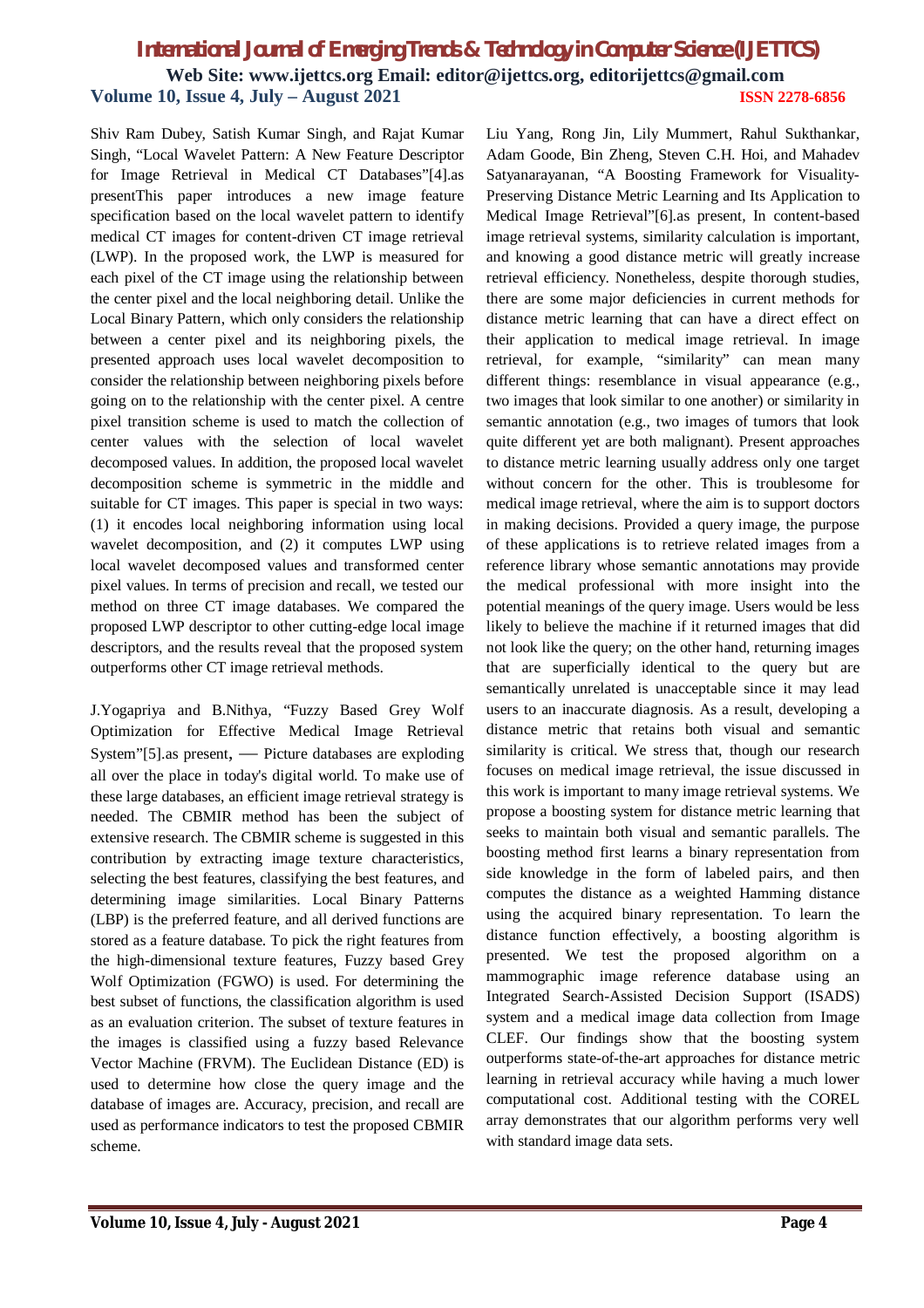Shiv Ram Dubey, Satish Kumar Singh, and Rajat Kumar Singh, "Local Wavelet Pattern: A New Feature Descriptor for Image Retrieval in Medical CT Databases"[4].as presentThis paper introduces a new image feature specification based on the local wavelet pattern to identify medical CT images for content-driven CT image retrieval (LWP). In the proposed work, the LWP is measured for each pixel of the CT image using the relationship between the center pixel and the local neighboring detail. Unlike the Local Binary Pattern, which only considers the relationship between a center pixel and its neighboring pixels, the presented approach uses local wavelet decomposition to consider the relationship between neighboring pixels before going on to the relationship with the center pixel. A centre pixel transition scheme is used to match the collection of center values with the selection of local wavelet decomposed values. In addition, the proposed local wavelet decomposition scheme is symmetric in the middle and suitable for CT images. This paper is special in two ways: (1) it encodes local neighboring information using local wavelet decomposition, and (2) it computes LWP using local wavelet decomposed values and transformed center pixel values. In terms of precision and recall, we tested our method on three CT image databases. We compared the proposed LWP descriptor to other cutting-edge local image descriptors, and the results reveal that the proposed system outperforms other CT image retrieval methods.

J.Yogapriya and B.Nithya, "Fuzzy Based Grey Wolf Optimization for Effective Medical Image Retrieval System"[5].as present, — Picture databases are exploding all over the place in today's digital world. To make use of these large databases, an efficient image retrieval strategy is needed. The CBMIR method has been the subject of extensive research. The CBMIR scheme is suggested in this contribution by extracting image texture characteristics, selecting the best features, classifying the best features, and determining image similarities. Local Binary Patterns (LBP) is the preferred feature, and all derived functions are stored as a feature database. To pick the right features from the high-dimensional texture features, Fuzzy based Grey Wolf Optimization (FGWO) is used. For determining the best subset of functions, the classification algorithm is used as an evaluation criterion. The subset of texture features in the images is classified using a fuzzy based Relevance Vector Machine (FRVM). The Euclidean Distance (ED) is used to determine how close the query image and the database of images are. Accuracy, precision, and recall are used as performance indicators to test the proposed CBMIR scheme.

Liu Yang, Rong Jin, Lily Mummert, Rahul Sukthankar, Adam Goode, Bin Zheng, Steven C.H. Hoi, and Mahadev Satyanarayanan, "A Boosting Framework for Visuality-Preserving Distance Metric Learning and Its Application to Medical Image Retrieval"[6].as present, In content-based image retrieval systems, similarity calculation is important, and knowing a good distance metric will greatly increase retrieval efficiency. Nonetheless, despite thorough studies, there are some major deficiencies in current methods for distance metric learning that can have a direct effect on their application to medical image retrieval. In image retrieval, for example, "similarity" can mean many different things: resemblance in visual appearance (e.g., two images that look similar to one another) or similarity in semantic annotation (e.g., two images of tumors that look quite different yet are both malignant). Present approaches to distance metric learning usually address only one target without concern for the other. This is troublesome for medical image retrieval, where the aim is to support doctors in making decisions. Provided a query image, the purpose of these applications is to retrieve related images from a reference library whose semantic annotations may provide the medical professional with more insight into the potential meanings of the query image. Users would be less likely to believe the machine if it returned images that did not look like the query; on the other hand, returning images that are superficially identical to the query but are semantically unrelated is unacceptable since it may lead users to an inaccurate diagnosis. As a result, developing a distance metric that retains both visual and semantic similarity is critical. We stress that, though our research focuses on medical image retrieval, the issue discussed in this work is important to many image retrieval systems. We propose a boosting system for distance metric learning that seeks to maintain both visual and semantic parallels. The boosting method first learns a binary representation from side knowledge in the form of labeled pairs, and then computes the distance as a weighted Hamming distance using the acquired binary representation. To learn the distance function effectively, a boosting algorithm is presented. We test the proposed algorithm on a mammographic image reference database using an Integrated Search-Assisted Decision Support (ISADS) system and a medical image data collection from Image CLEF. Our findings show that the boosting system outperforms state-of-the-art approaches for distance metric learning in retrieval accuracy while having a much lower computational cost. Additional testing with the COREL array demonstrates that our algorithm performs very well with standard image data sets.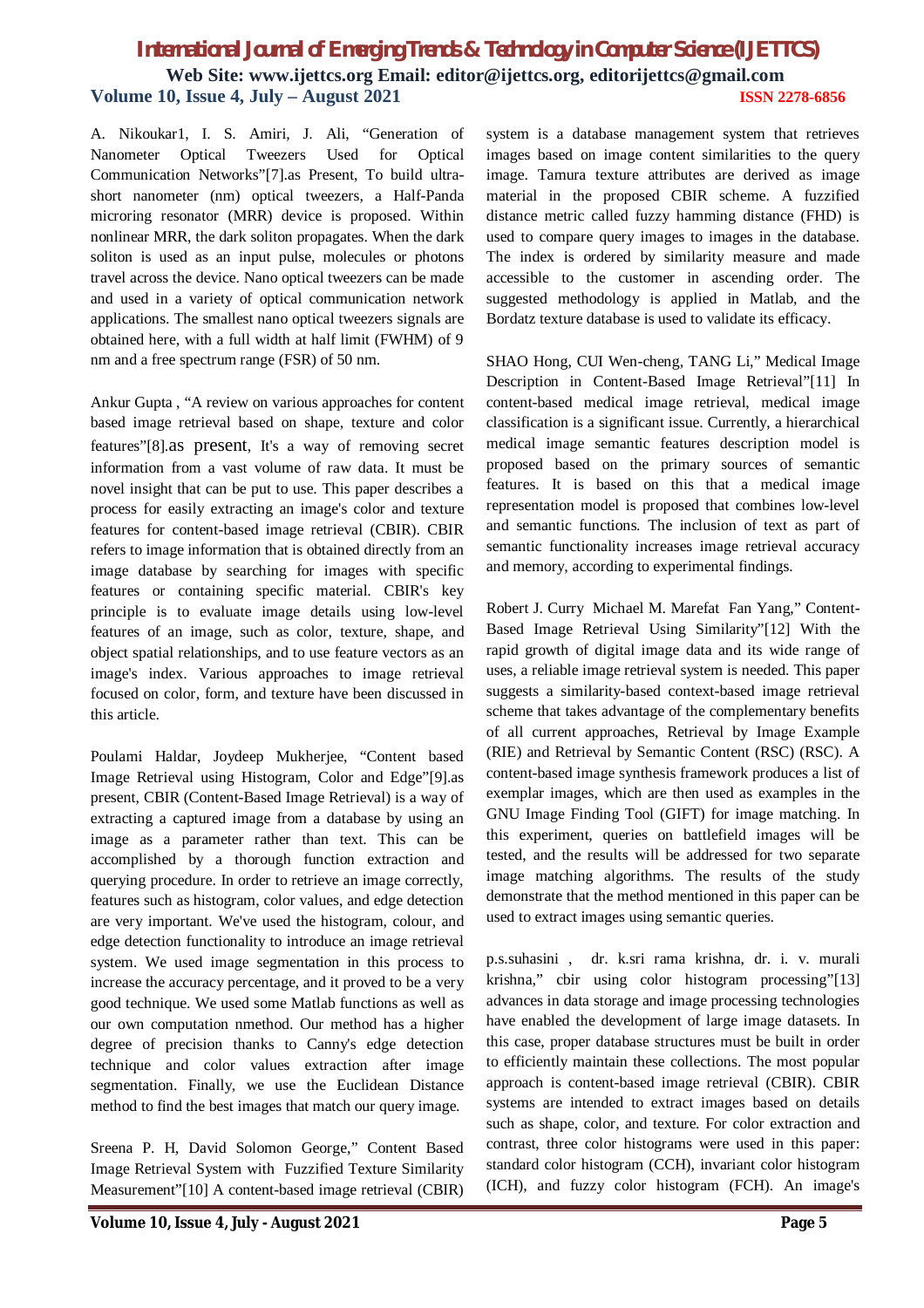A. Nikoukar1, I. S. Amiri, J. Ali, "Generation of Nanometer Optical Tweezers Used for Optical Communication Networks"[7].as Present, To build ultrashort nanometer (nm) optical tweezers, a Half-Panda microring resonator (MRR) device is proposed. Within nonlinear MRR, the dark soliton propagates. When the dark soliton is used as an input pulse, molecules or photons travel across the device. Nano optical tweezers can be made and used in a variety of optical communication network applications. The smallest nano optical tweezers signals are obtained here, with a full width at half limit (FWHM) of 9 nm and a free spectrum range (FSR) of 50 nm.

Ankur Gupta , "A review on various approaches for content based image retrieval based on shape, texture and color features"[8].as present, It's a way of removing secret information from a vast volume of raw data. It must be novel insight that can be put to use. This paper describes a process for easily extracting an image's color and texture features for content-based image retrieval (CBIR). CBIR refers to image information that is obtained directly from an image database by searching for images with specific features or containing specific material. CBIR's key principle is to evaluate image details using low-level features of an image, such as color, texture, shape, and object spatial relationships, and to use feature vectors as an image's index. Various approaches to image retrieval focused on color, form, and texture have been discussed in this article.

Poulami Haldar, Joydeep Mukherjee, "Content based Image Retrieval using Histogram, Color and Edge"[9].as present, CBIR (Content-Based Image Retrieval) is a way of extracting a captured image from a database by using an image as a parameter rather than text. This can be accomplished by a thorough function extraction and querying procedure. In order to retrieve an image correctly, features such as histogram, color values, and edge detection are very important. We've used the histogram, colour, and edge detection functionality to introduce an image retrieval system. We used image segmentation in this process to increase the accuracy percentage, and it proved to be a very good technique. We used some Matlab functions as well as our own computation nmethod. Our method has a higher degree of precision thanks to Canny's edge detection technique and color values extraction after image segmentation. Finally, we use the Euclidean Distance method to find the best images that match our query image.

Sreena P. H, David Solomon George," Content Based Image Retrieval System with Fuzzified Texture Similarity Measurement"[10] A content-based image retrieval (CBIR)

system is a database management system that retrieves images based on image content similarities to the query image. Tamura texture attributes are derived as image material in the proposed CBIR scheme. A fuzzified distance metric called fuzzy hamming distance (FHD) is used to compare query images to images in the database. The index is ordered by similarity measure and made accessible to the customer in ascending order. The suggested methodology is applied in Matlab, and the Bordatz texture database is used to validate its efficacy.

SHAO Hong, CUI Wen-cheng, TANG Li," Medical Image Description in Content-Based Image Retrieval"[11] In content-based medical image retrieval, medical image classification is a significant issue. Currently, a hierarchical medical image semantic features description model is proposed based on the primary sources of semantic features. It is based on this that a medical image representation model is proposed that combines low-level and semantic functions. The inclusion of text as part of semantic functionality increases image retrieval accuracy and memory, according to experimental findings.

Robert J. Curry Michael M. Marefat Fan Yang," Content-Based Image Retrieval Using Similarity"[12] With the rapid growth of digital image data and its wide range of uses, a reliable image retrieval system is needed. This paper suggests a similarity-based context-based image retrieval scheme that takes advantage of the complementary benefits of all current approaches, Retrieval by Image Example (RIE) and Retrieval by Semantic Content (RSC) (RSC). A content-based image synthesis framework produces a list of exemplar images, which are then used as examples in the GNU Image Finding Tool (GIFT) for image matching. In this experiment, queries on battlefield images will be tested, and the results will be addressed for two separate image matching algorithms. The results of the study demonstrate that the method mentioned in this paper can be used to extract images using semantic queries.

p.s.suhasini , dr. k.sri rama krishna, dr. i. v. murali krishna," cbir using color histogram processing"[13] advances in data storage and image processing technologies have enabled the development of large image datasets. In this case, proper database structures must be built in order to efficiently maintain these collections. The most popular approach is content-based image retrieval (CBIR). CBIR systems are intended to extract images based on details such as shape, color, and texture. For color extraction and contrast, three color histograms were used in this paper: standard color histogram (CCH), invariant color histogram (ICH), and fuzzy color histogram (FCH). An image's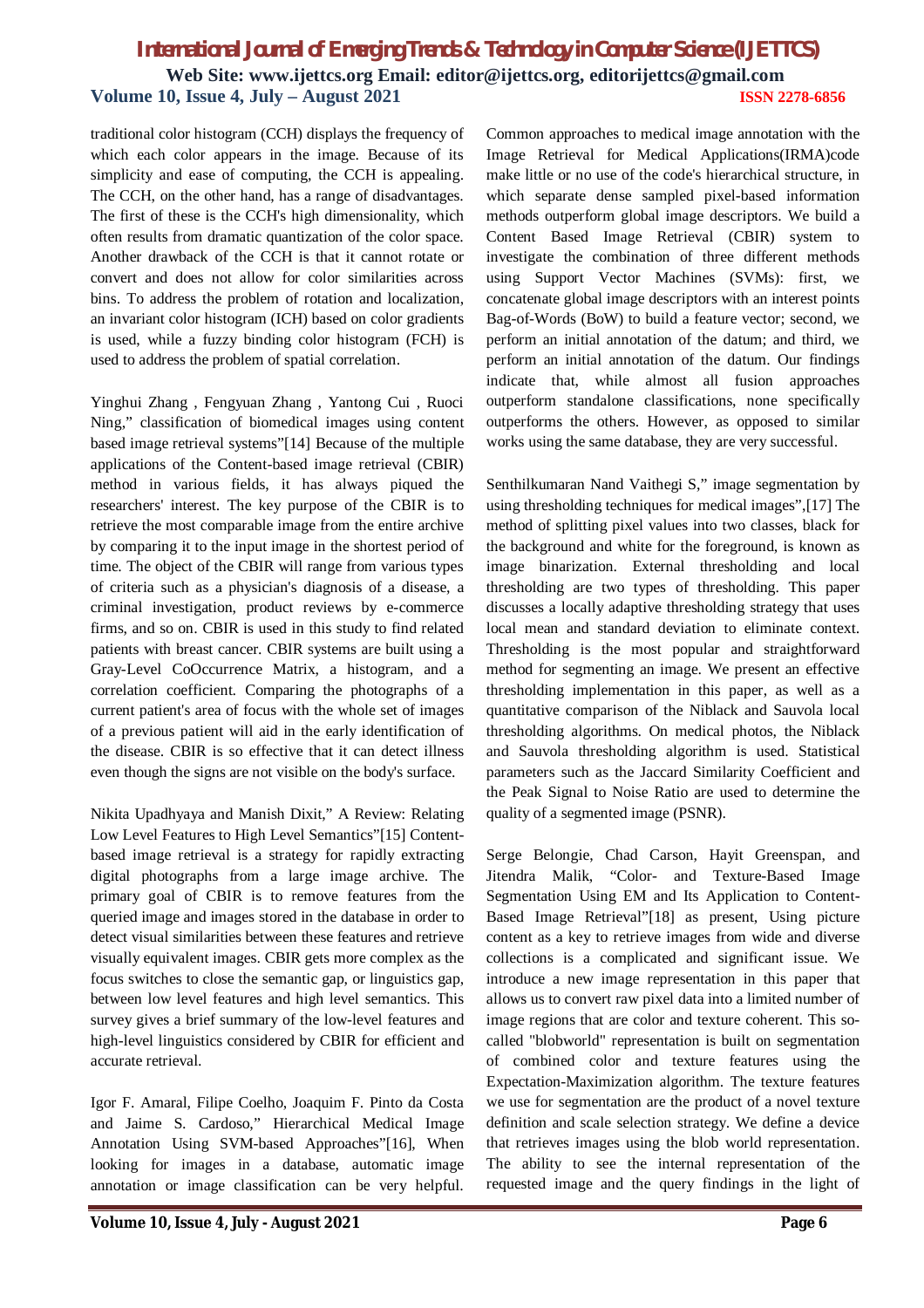traditional color histogram (CCH) displays the frequency of which each color appears in the image. Because of its simplicity and ease of computing, the CCH is appealing. The CCH, on the other hand, has a range of disadvantages. The first of these is the CCH's high dimensionality, which often results from dramatic quantization of the color space. Another drawback of the CCH is that it cannot rotate or convert and does not allow for color similarities across bins. To address the problem of rotation and localization, an invariant color histogram (ICH) based on color gradients is used, while a fuzzy binding color histogram (FCH) is used to address the problem of spatial correlation.

Yinghui Zhang , Fengyuan Zhang , Yantong Cui , Ruoci Ning," classification of biomedical images using content based image retrieval systems"[14] Because of the multiple applications of the Content-based image retrieval (CBIR) method in various fields, it has always piqued the researchers' interest. The key purpose of the CBIR is to retrieve the most comparable image from the entire archive by comparing it to the input image in the shortest period of time. The object of the CBIR will range from various types of criteria such as a physician's diagnosis of a disease, a criminal investigation, product reviews by e-commerce firms, and so on. CBIR is used in this study to find related patients with breast cancer. CBIR systems are built using a Gray-Level CoOccurrence Matrix, a histogram, and a correlation coefficient. Comparing the photographs of a current patient's area of focus with the whole set of images of a previous patient will aid in the early identification of the disease. CBIR is so effective that it can detect illness even though the signs are not visible on the body's surface.

Nikita Upadhyaya and Manish Dixit," A Review: Relating Low Level Features to High Level Semantics"[15] Contentbased image retrieval is a strategy for rapidly extracting digital photographs from a large image archive. The primary goal of CBIR is to remove features from the queried image and images stored in the database in order to detect visual similarities between these features and retrieve visually equivalent images. CBIR gets more complex as the focus switches to close the semantic gap, or linguistics gap, between low level features and high level semantics. This survey gives a brief summary of the low-level features and high-level linguistics considered by CBIR for efficient and accurate retrieval.

Igor F. Amaral, Filipe Coelho, Joaquim F. Pinto da Costa and Jaime S. Cardoso," Hierarchical Medical Image Annotation Using SVM-based Approaches"[16], When looking for images in a database, automatic image annotation or image classification can be very helpful.

Common approaches to medical image annotation with the Image Retrieval for Medical Applications(IRMA)code make little or no use of the code's hierarchical structure, in which separate dense sampled pixel-based information methods outperform global image descriptors. We build a Content Based Image Retrieval (CBIR) system to investigate the combination of three different methods using Support Vector Machines (SVMs): first, we concatenate global image descriptors with an interest points Bag-of-Words (BoW) to build a feature vector; second, we perform an initial annotation of the datum; and third, we perform an initial annotation of the datum. Our findings indicate that, while almost all fusion approaches outperform standalone classifications, none specifically outperforms the others. However, as opposed to similar works using the same database, they are very successful.

Senthilkumaran Nand Vaithegi S," image segmentation by using thresholding techniques for medical images",[17] The method of splitting pixel values into two classes, black for the background and white for the foreground, is known as image binarization. External thresholding and local thresholding are two types of thresholding. This paper discusses a locally adaptive thresholding strategy that uses local mean and standard deviation to eliminate context. Thresholding is the most popular and straightforward method for segmenting an image. We present an effective thresholding implementation in this paper, as well as a quantitative comparison of the Niblack and Sauvola local thresholding algorithms. On medical photos, the Niblack and Sauvola thresholding algorithm is used. Statistical parameters such as the Jaccard Similarity Coefficient and the Peak Signal to Noise Ratio are used to determine the quality of a segmented image (PSNR).

Serge Belongie, Chad Carson, Hayit Greenspan, and Jitendra Malik, "Color- and Texture-Based Image Segmentation Using EM and Its Application to Content-Based Image Retrieval"[18] as present, Using picture content as a key to retrieve images from wide and diverse collections is a complicated and significant issue. We introduce a new image representation in this paper that allows us to convert raw pixel data into a limited number of image regions that are color and texture coherent. This socalled "blobworld" representation is built on segmentation of combined color and texture features using the Expectation-Maximization algorithm. The texture features we use for segmentation are the product of a novel texture definition and scale selection strategy. We define a device that retrieves images using the blob world representation. The ability to see the internal representation of the requested image and the query findings in the light of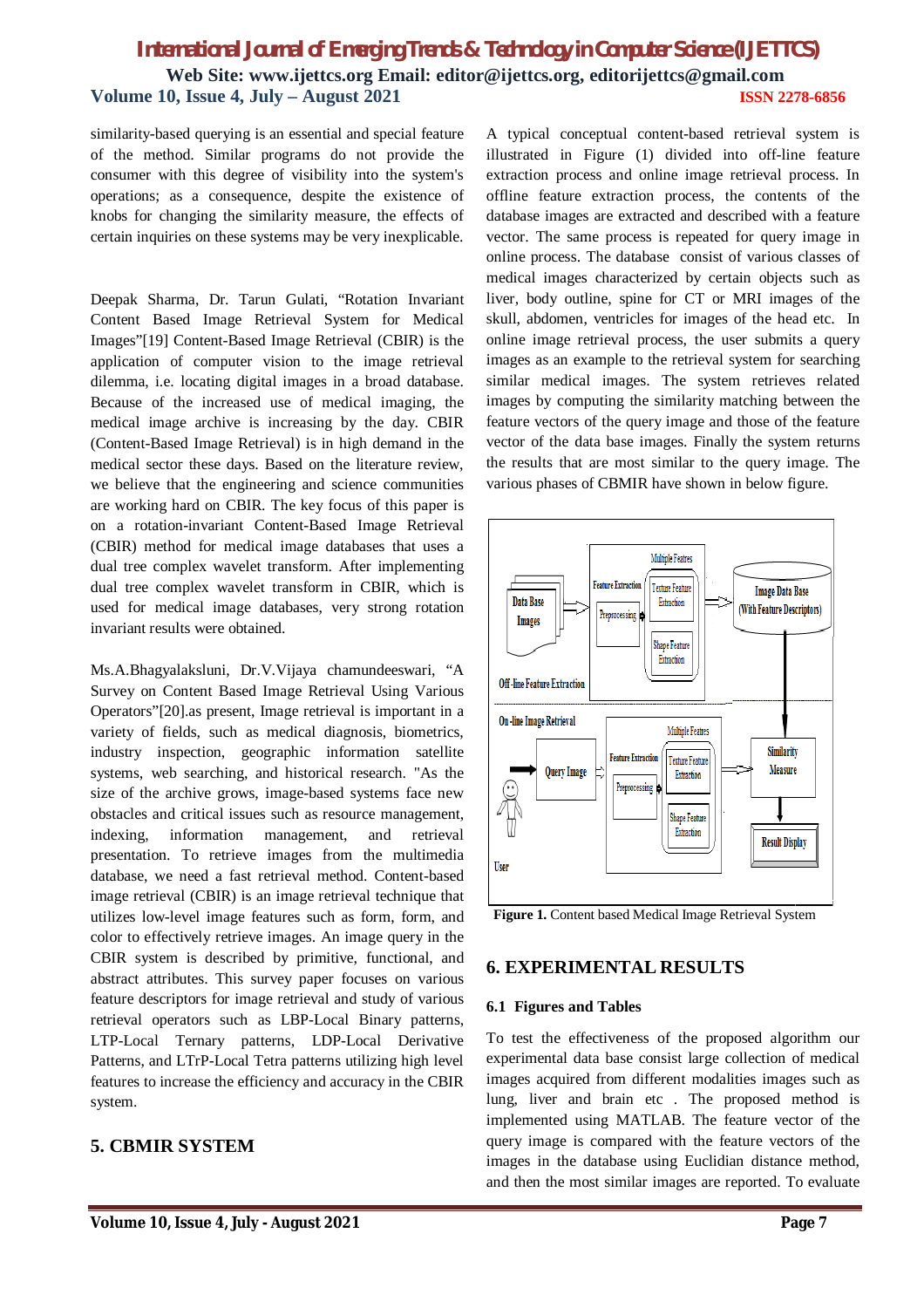similarity-based querying is an essential and special feature of the method. Similar programs do not provide the consumer with this degree of visibility into the system's operations; as a consequence, despite the existence of knobs for changing the similarity measure, the effects of certain inquiries on these systems may be very inexplicable.

Deepak Sharma, Dr. Tarun Gulati, "Rotation Invariant Content Based Image Retrieval System for Medical Images"[19] Content-Based Image Retrieval (CBIR) is the application of computer vision to the image retrieval dilemma, i.e. locating digital images in a broad database. Because of the increased use of medical imaging, the medical image archive is increasing by the day. CBIR (Content-Based Image Retrieval) is in high demand in the medical sector these days. Based on the literature review, we believe that the engineering and science communities are working hard on CBIR. The key focus of this paper is on a rotation-invariant Content-Based Image Retrieval (CBIR) method for medical image databases that uses a dual tree complex wavelet transform. After implementing dual tree complex wavelet transform in CBIR, which is used for medical image databases, very strong rotation invariant results were obtained.

Ms.A.Bhagyalaksluni, Dr.V.Vijaya chamundeeswari, "A Survey on Content Based Image Retrieval Using Various Operators"[20].as present, Image retrieval is important in a variety of fields, such as medical diagnosis, biometrics, industry inspection, geographic information satellite systems, web searching, and historical research. "As the size of the archive grows, image-based systems face new obstacles and critical issues such as resource management, indexing, information management, and retrieval presentation. To retrieve images from the multimedia database, we need a fast retrieval method. Content-based image retrieval (CBIR) is an image retrieval technique that utilizes low-level image features such as form, form, and color to effectively retrieve images. An image query in the CBIR system is described by primitive, functional, and abstract attributes. This survey paper focuses on various feature descriptors for image retrieval and study of various retrieval operators such as LBP-Local Binary patterns, LTP-Local Ternary patterns, LDP-Local Derivative Patterns, and LTrP-Local Tetra patterns utilizing high level features to increase the efficiency and accuracy in the CBIR system.

# **5. CBMIR SYSTEM**

**Volume 10, Issue 4, July - August 2021 Page 7**

A typical conceptual content-based retrieval system is illustrated in Figure (1) divided into off-line feature extraction process and online image retrieval process. In offline feature extraction process, the contents of the database images are extracted and described with a feature vector. The same process is repeated for query image in online process. The database consist of various classes of medical images characterized by certain objects such as liver, body outline, spine for CT or MRI images of the skull, abdomen, ventricles for images of the head etc. In online image retrieval process, the user submits a query images as an example to the retrieval system for searching similar medical images. The system retrieves related images by computing the similarity matching between the feature vectors of the query image and those of the feature vector of the data base images. Finally the system returns the results that are most similar to the query image. The various phases of CBMIR have shown in below figure.



 **Figure 1.** Content based Medical Image Retrieval System

## **6. EXPERIMENTAL RESULTS**

#### **6.1 Figures and Tables**

To test the effectiveness of the proposed algorithm our experimental data base consist large collection of medical images acquired from different modalities images such as lung, liver and brain etc . The proposed method is implemented using MATLAB. The feature vector of the query image is compared with the feature vectors of the images in the database using Euclidian distance method, and then the most similar images are reported. To evaluate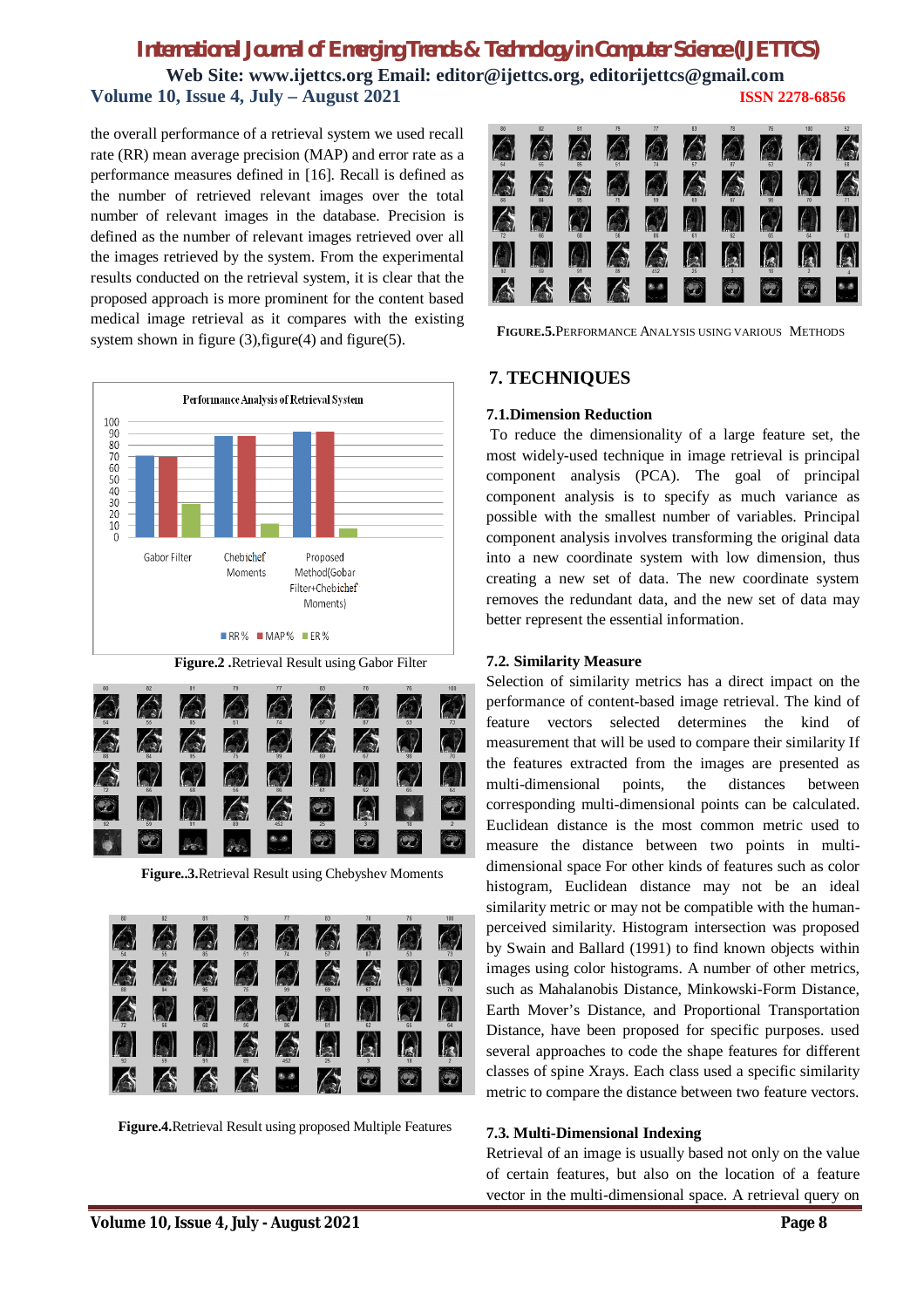# *International Journal of Emerging Trends & Technology in Computer Science (IJETTCS)*

**Web Site: www.ijettcs.org Email: editor@ijettcs.org, editorijettcs@gmail.com Volume 10, Issue 4, July – August 2021 ISSN 2278-6856**

the overall performance of a retrieval system we used recall rate (RR) mean average precision (MAP) and error rate as a performance measures defined in [16]. Recall is defined as the number of retrieved relevant images over the total number of relevant images in the database. Precision is defined as the number of relevant images retrieved over all the images retrieved by the system. From the experimental results conducted on the retrieval system, it is clear that the proposed approach is more prominent for the content based medical image retrieval as it compares with the existing system shown in figure  $(3)$ , figure  $(4)$  and figure  $(5)$ .



 **Figure.2 .**Retrieval Result using Gabor Filter

| 80 | 82 | 81 | 79 | 77  | 83 | 78             | 76 | 100            |
|----|----|----|----|-----|----|----------------|----|----------------|
| 54 | 55 | 85 | 51 | 74  | 57 | 87             | 53 | 73             |
| 88 | 84 | 95 | 75 | 99  | 69 | 67             | 98 | 70             |
| 72 | 66 | 68 | 56 | 86  | 61 | 62             | 65 | 64             |
| 92 | 59 | 91 | 89 | 452 | 25 | $\overline{3}$ | 18 | $\overline{a}$ |
|    |    |    |    |     |    |                |    |                |

**Figure..3.**Retrieval Result using Chebyshev Moments



**Figure.4.**Retrieval Result using proposed Multiple Features



 **FIGURE.5.**PERFORMANCE ANALYSIS USING VARIOUS METHODS

# **7. TECHNIQUES**

#### **7.1.Dimension Reduction**

To reduce the dimensionality of a large feature set, the most widely-used technique in image retrieval is principal component analysis (PCA). The goal of principal component analysis is to specify as much variance as possible with the smallest number of variables. Principal component analysis involves transforming the original data into a new coordinate system with low dimension, thus creating a new set of data. The new coordinate system removes the redundant data, and the new set of data may better represent the essential information.

#### **7.2. Similarity Measure**

Selection of similarity metrics has a direct impact on the performance of content-based image retrieval. The kind of feature vectors selected determines the kind of measurement that will be used to compare their similarity If the features extracted from the images are presented as multi-dimensional points, the distances between corresponding multi-dimensional points can be calculated. Euclidean distance is the most common metric used to measure the distance between two points in multidimensional space For other kinds of features such as color histogram, Euclidean distance may not be an ideal similarity metric or may not be compatible with the humanperceived similarity. Histogram intersection was proposed by Swain and Ballard (1991) to find known objects within images using color histograms. A number of other metrics, such as Mahalanobis Distance, Minkowski-Form Distance, Earth Mover's Distance, and Proportional Transportation Distance, have been proposed for specific purposes. used several approaches to code the shape features for different classes of spine Xrays. Each class used a specific similarity metric to compare the distance between two feature vectors.

## **7.3. Multi-Dimensional Indexing**

Retrieval of an image is usually based not only on the value of certain features, but also on the location of a feature vector in the multi-dimensional space. A retrieval query on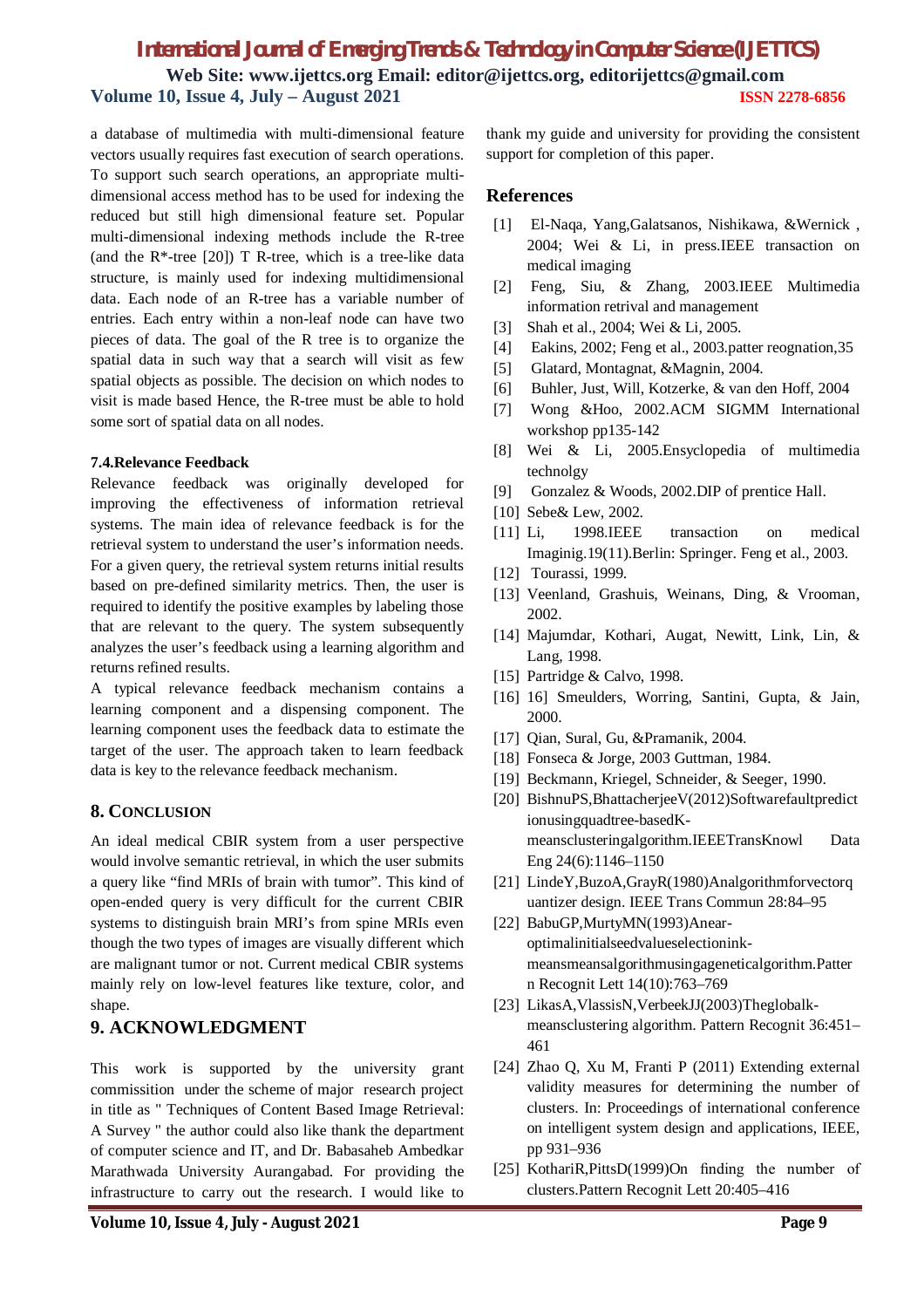a database of multimedia with multi-dimensional feature vectors usually requires fast execution of search operations. To support such search operations, an appropriate multidimensional access method has to be used for indexing the reduced but still high dimensional feature set. Popular multi-dimensional indexing methods include the R-tree (and the  $R^*$ -tree [20]) T R-tree, which is a tree-like data structure, is mainly used for indexing multidimensional data. Each node of an R-tree has a variable number of entries. Each entry within a non-leaf node can have two pieces of data. The goal of the R tree is to organize the spatial data in such way that a search will visit as few spatial objects as possible. The decision on which nodes to visit is made based Hence, the R-tree must be able to hold some sort of spatial data on all nodes.

#### **7.4.Relevance Feedback**

Relevance feedback was originally developed for improving the effectiveness of information retrieval systems. The main idea of relevance feedback is for the retrieval system to understand the user's information needs. For a given query, the retrieval system returns initial results based on pre-defined similarity metrics. Then, the user is required to identify the positive examples by labeling those that are relevant to the query. The system subsequently analyzes the user's feedback using a learning algorithm and returns refined results.

A typical relevance feedback mechanism contains a learning component and a dispensing component. The learning component uses the feedback data to estimate the target of the user. The approach taken to learn feedback data is key to the relevance feedback mechanism.

#### **8. CONCLUSION**

An ideal medical CBIR system from a user perspective would involve semantic retrieval, in which the user submits a query like "find MRIs of brain with tumor". This kind of open-ended query is very difficult for the current CBIR systems to distinguish brain MRI's from spine MRIs even though the two types of images are visually different which are malignant tumor or not. Current medical CBIR systems mainly rely on low-level features like texture, color, and shape.

## **9. ACKNOWLEDGMENT**

This work is supported by the university grant commissition under the scheme of major research project in title as " Techniques of Content Based Image Retrieval: A Survey " the author could also like thank the department of computer science and IT, and Dr. Babasaheb Ambedkar Marathwada University Aurangabad. For providing the infrastructure to carry out the research. I would like to

**Volume 10, Issue 4, July - August 2021 Page 9**

thank my guide and university for providing the consistent support for completion of this paper.

#### **References**

- [1] El-Naqa, Yang,Galatsanos, Nishikawa, &Wernick , 2004; Wei & Li, in press.IEEE transaction on medical imaging
- [2] Feng, Siu, & Zhang, 2003.IEEE Multimedia information retrival and management
- [3] Shah et al., 2004; Wei & Li, 2005.
- [4] Eakins, 2002; Feng et al., 2003.patter reognation,35
- [5] Glatard, Montagnat, &Magnin, 2004.
- [6] Buhler, Just, Will, Kotzerke, & van den Hoff, 2004
- [7] Wong &Hoo, 2002.ACM SIGMM International workshop pp135-142
- [8] Wei & Li, 2005.Ensyclopedia of multimedia technolgy
- [9] Gonzalez & Woods, 2002.DIP of prentice Hall.
- [10] Sebe& Lew, 2002.
- [11] Li, 1998.IEEE transaction on medical Imaginig.19(11).Berlin: Springer. Feng et al., 2003.
- [12] Tourassi, 1999.
- [13] Veenland, Grashuis, Weinans, Ding, & Vrooman, 2002.
- [14] Majumdar, Kothari, Augat, Newitt, Link, Lin, & Lang, 1998.
- [15] Partridge & Calvo, 1998.
- [16] 16] Smeulders, Worring, Santini, Gupta, & Jain, 2000.
- [17] Qian, Sural, Gu, &Pramanik, 2004.
- [18] Fonseca & Jorge, 2003 Guttman, 1984.
- [19] Beckmann, Kriegel, Schneider, & Seeger, 1990.
- [20] BishnuPS,BhattacherjeeV(2012)Softwarefaultpredict ionusingquadtree-basedKmeansclusteringalgorithm.IEEETransKnowl Data Eng 24(6):1146–1150
- [21] LindeY,BuzoA,GrayR(1980)Analgorithmforvectorq uantizer design. IEEE Trans Commun 28:84–95
- [22] BabuGP,MurtyMN(1993)Anearoptimalinitialseedvalueselectioninkmeansmeansalgorithmusingageneticalgorithm.Patter n Recognit Lett 14(10):763–769
- [23] LikasA,VlassisN,VerbeekJJ(2003)Theglobalkmeansclustering algorithm. Pattern Recognit 36:451– 461
- [24] Zhao Q, Xu M, Franti P (2011) Extending external validity measures for determining the number of clusters. In: Proceedings of international conference on intelligent system design and applications, IEEE, pp 931–936
- [25] KothariR, PittsD(1999)On finding the number of clusters.Pattern Recognit Lett 20:405–416